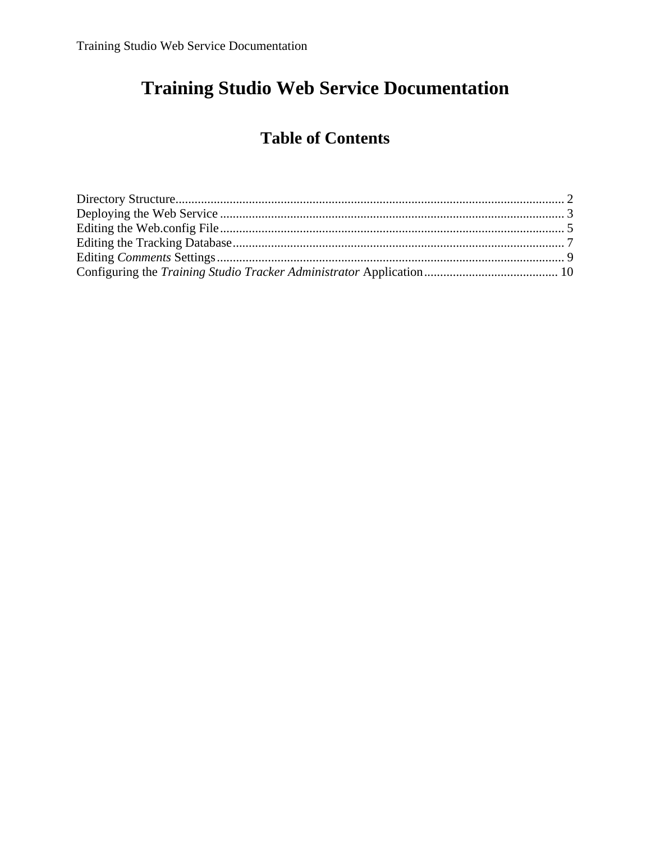# **Training Studio Web Service Documentation**

# **Table of Contents**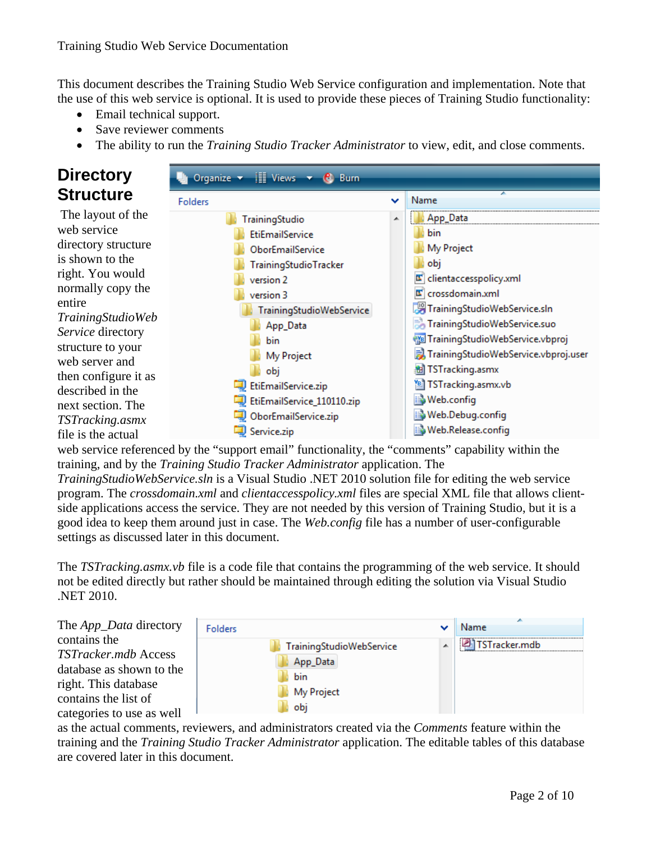This document describes the Training Studio Web Service configuration and implementation. Note that the use of this web service is optional. It is used to provide these pieces of Training Studio functionality:

- Email technical support.
- Save reviewer comments
- The ability to run the *Training Studio Tracker Administrator* to view, edit, and close comments.

### **Directory Structure**

 The layout of the web service directory structure is shown to the right. You would normally copy the entire *TrainingStudioWeb Service* directory structure to your web server and then configure it as described in the next section. The *TSTracking.asmx* file is the actual



web service referenced by the "support email" functionality, the "comments" capability within the training, and by the *Training Studio Tracker Administrator* application. The

*TrainingStudioWebService.sln* is a Visual Studio .NET 2010 solution file for editing the web service program. The *crossdomain.xml* and *clientaccesspolicy.xml* files are special XML file that allows clientside applications access the service. They are not needed by this version of Training Studio, but it is a good idea to keep them around just in case. The *Web.config* file has a number of user-configurable settings as discussed later in this document.

The *TSTracking.asmx.vb* file is a code file that contains the programming of the web service. It should not be edited directly but rather should be maintained through editing the solution via Visual Studio .NET 2010.

The *App\_Data* directory contains the *TSTracker.mdb* Access database as shown to the right. This database contains the list of categories to use as well



as the actual comments, reviewers, and administrators created via the *Comments* feature within the training and the *Training Studio Tracker Administrator* application. The editable tables of this database are covered later in this document.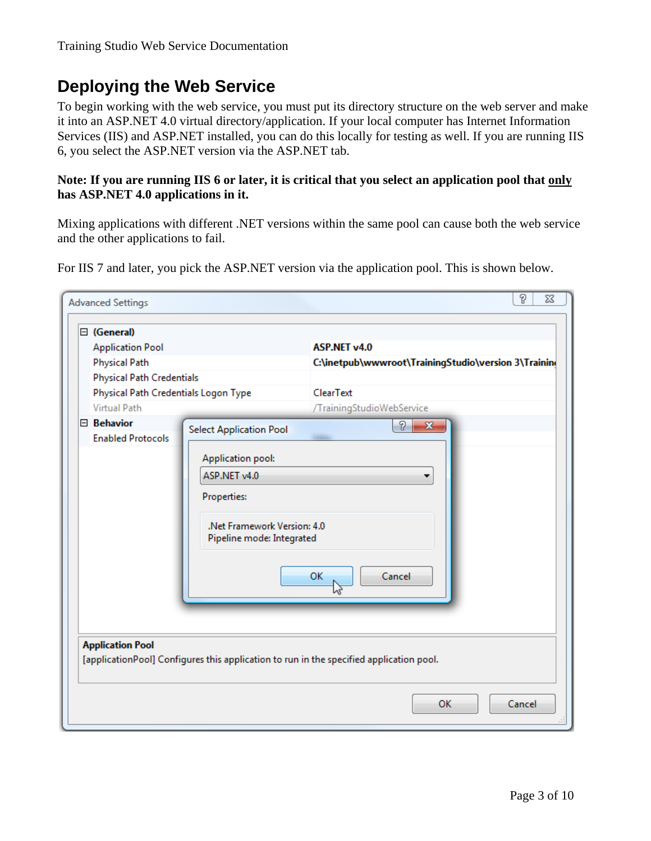### **Deploying the Web Service**

To begin working with the web service, you must put its directory structure on the web server and make it into an ASP.NET 4.0 virtual directory/application. If your local computer has Internet Information Services (IIS) and ASP.NET installed, you can do this locally for testing as well. If you are running IIS 6, you select the ASP.NET version via the ASP.NET tab.

#### **Note: If you are running IIS 6 or later, it is critical that you select an application pool that only has ASP.NET 4.0 applications in it.**

Mixing applications with different .NET versions within the same pool can cause both the web service and the other applications to fail.

For IIS 7 and later, you pick the ASP.NET version via the application pool. This is shown below.

| <b>Advanced Settings</b>             |                                | P<br>23                                                                                 |
|--------------------------------------|--------------------------------|-----------------------------------------------------------------------------------------|
| □ (General)                          |                                |                                                                                         |
|                                      |                                | ASP.NET v4.0                                                                            |
| <b>Application Pool</b>              |                                |                                                                                         |
| <b>Physical Path</b>                 |                                | C:\inetpub\wwwroot\TrainingStudio\version 3\Trainin                                     |
| <b>Physical Path Credentials</b>     |                                |                                                                                         |
| Physical Path Credentials Logon Type |                                | ClearText                                                                               |
| <b>Virtual Path</b>                  |                                | /TrainingStudioWebService                                                               |
| $\boxminus$ Behavior                 | <b>Select Application Pool</b> | P<br>$\mathbf{x}$                                                                       |
| <b>Enabled Protocols</b>             |                                |                                                                                         |
|                                      | Application pool:              |                                                                                         |
|                                      | ASP.NET v4.0                   |                                                                                         |
|                                      | <b>Properties:</b>             |                                                                                         |
|                                      |                                |                                                                                         |
|                                      | .Net Framework Version: 4.0    |                                                                                         |
|                                      | Pipeline mode: Integrated      |                                                                                         |
|                                      |                                |                                                                                         |
|                                      |                                |                                                                                         |
|                                      |                                | Cancel<br>OK                                                                            |
|                                      |                                |                                                                                         |
|                                      |                                |                                                                                         |
|                                      |                                |                                                                                         |
| <b>Application Pool</b>              |                                |                                                                                         |
|                                      |                                | [applicationPool] Configures this application to run in the specified application pool. |
|                                      |                                |                                                                                         |
|                                      |                                |                                                                                         |
|                                      |                                | OK<br>Cancel                                                                            |
|                                      |                                |                                                                                         |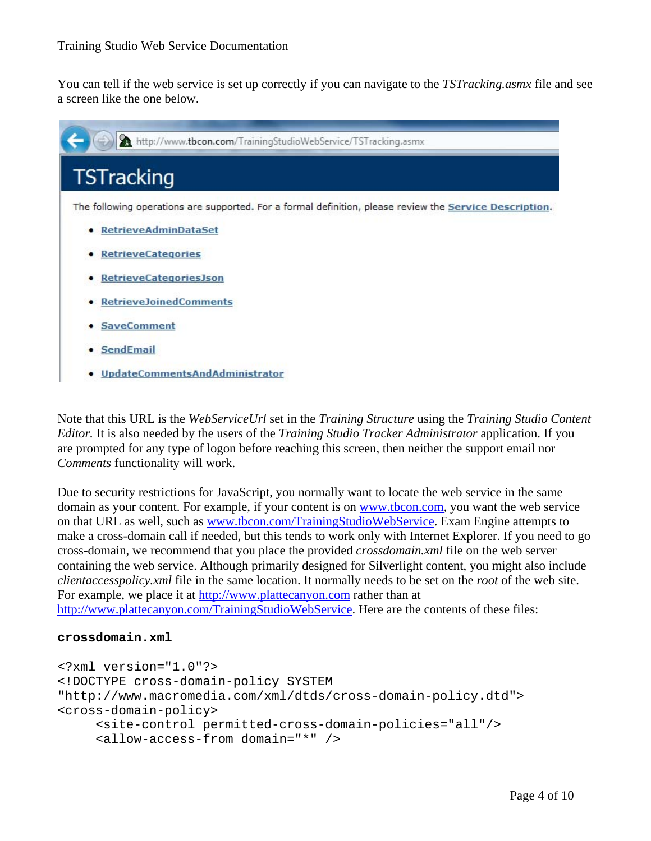You can tell if the web service is set up correctly if you can navigate to the *TSTracking.asmx* file and see a screen like the one below.



Note that this URL is the *WebServiceUrl* set in the *Training Structure* using the *Training Studio Content Editor.* It is also needed by the users of the *Training Studio Tracker Administrator* application. If you are prompted for any type of logon before reaching this screen, then neither the support email nor *Comments* functionality will work.

Due to security restrictions for JavaScript, you normally want to locate the web service in the same domain as your content. For example, if your content is on www.tbcon.com, you want the web service on that URL as well, such as www.tbcon.com/TrainingStudioWebService. Exam Engine attempts to make a cross-domain call if needed, but this tends to work only with Internet Explorer. If you need to go cross-domain, we recommend that you place the provided *crossdomain.xml* file on the web server containing the web service. Although primarily designed for Silverlight content, you might also include *clientaccesspolicy.xml* file in the same location. It normally needs to be set on the *root* of the web site. For example, we place it at http://www.plattecanyon.com rather than at http://www.plattecanyon.com/TrainingStudioWebService. Here are the contents of these files:

#### **crossdomain.xml**

```
<?xml version="1.0"?> 
<!DOCTYPE cross-domain-policy SYSTEM 
"http://www.macromedia.com/xml/dtds/cross-domain-policy.dtd"> 
<cross-domain-policy> 
      <site-control permitted-cross-domain-policies="all"/> 
      <allow-access-from domain="*" />
```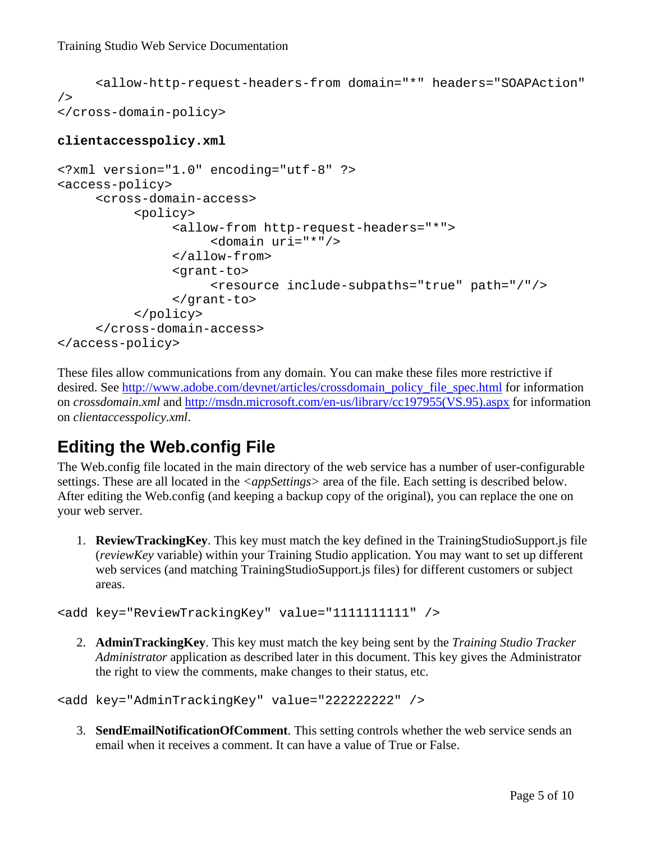```
 <allow-http-request-headers-from domain="*" headers="SOAPAction" 
/> 
</cross-domain-policy>
```
#### **clientaccesspolicy.xml**

```
<?xml version="1.0" encoding="utf-8" ?> 
<access-policy> 
      <cross-domain-access> 
            <policy> 
                 <allow-from http-request-headers="*"> 
                       <domain uri="*"/> 
                 </allow-from> 
                 <grant-to> 
                       <resource include-subpaths="true" path="/"/> 
                 </grant-to> 
            </policy> 
      </cross-domain-access> 
</access-policy>
```
These files allow communications from any domain. You can make these files more restrictive if desired. See http://www.adobe.com/devnet/articles/crossdomain\_policy\_file\_spec.html for information on *crossdomain.xml* and http://msdn.microsoft.com/en-us/library/cc197955(VS.95).aspx for information on *clientaccesspolicy.xml*.

### **Editing the Web.config File**

The Web.config file located in the main directory of the web service has a number of user-configurable settings. These are all located in the *<appSettings>* area of the file. Each setting is described below. After editing the Web.config (and keeping a backup copy of the original), you can replace the one on your web server.

1. **ReviewTrackingKey**. This key must match the key defined in the TrainingStudioSupport.js file (*reviewKey* variable) within your Training Studio application. You may want to set up different web services (and matching TrainingStudioSupport.js files) for different customers or subject areas.

<add key="ReviewTrackingKey" value="1111111111" />

2. **AdminTrackingKey**. This key must match the key being sent by the *Training Studio Tracker Administrator* application as described later in this document. This key gives the Administrator the right to view the comments, make changes to their status, etc.

<add key="AdminTrackingKey" value="222222222" />

3. **SendEmailNotificationOfComment**. This setting controls whether the web service sends an email when it receives a comment. It can have a value of True or False.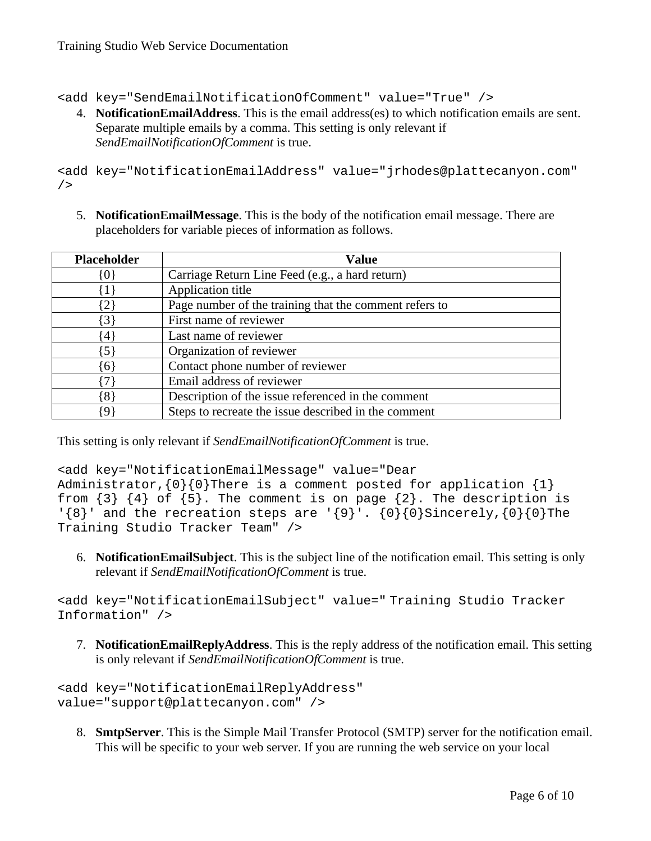<add key="SendEmailNotificationOfComment" value="True" />

4. **NotificationEmailAddress**. This is the email address(es) to which notification emails are sent. Separate multiple emails by a comma. This setting is only relevant if *SendEmailNotificationOfComment* is true.

<add key="NotificationEmailAddress" value="jrhodes@plattecanyon.com"  $/$ 

5. **NotificationEmailMessage**. This is the body of the notification email message. There are placeholders for variable pieces of information as follows.

| <b>Placeholder</b> | <b>Value</b>                                           |
|--------------------|--------------------------------------------------------|
| {0}                | Carriage Return Line Feed (e.g., a hard return)        |
| $\{1\}$            | Application title                                      |
| $\{2\}$            | Page number of the training that the comment refers to |
| $\{3\}$            | First name of reviewer                                 |
| $\{4\}$            | Last name of reviewer                                  |
| $\{5\}$            | Organization of reviewer                               |
| $\{6\}$            | Contact phone number of reviewer                       |
| 71                 | Email address of reviewer                              |
| $\{8\}$            | Description of the issue referenced in the comment     |
| 91                 | Steps to recreate the issue described in the comment   |

This setting is only relevant if *SendEmailNotificationOfComment* is true.

<add key="NotificationEmailMessage" value="Dear Administrator,  $\{0\}$  {0}There is a comment posted for application  $\{1\}$ from  $\{3\}$   $\{4\}$  of  $\{5\}$ . The comment is on page  $\{2\}$ . The description is ' ${8}$ ' and the recreation steps are ' ${9}$ '.  ${0}{0}$ Sincerely, ${0}{0}$ The Training Studio Tracker Team" />

6. **NotificationEmailSubject**. This is the subject line of the notification email. This setting is only relevant if *SendEmailNotificationOfComment* is true.

<add key="NotificationEmailSubject" value=" Training Studio Tracker Information" />

7. **NotificationEmailReplyAddress**. This is the reply address of the notification email. This setting is only relevant if *SendEmailNotificationOfComment* is true.

<add key="NotificationEmailReplyAddress" value="support@plattecanyon.com" />

8. **SmtpServer**. This is the Simple Mail Transfer Protocol (SMTP) server for the notification email. This will be specific to your web server. If you are running the web service on your local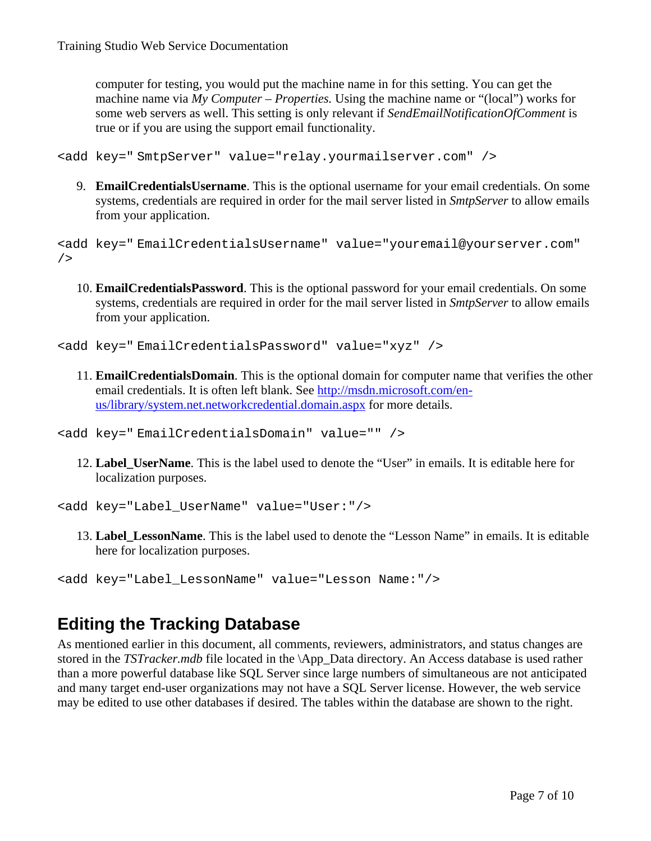computer for testing, you would put the machine name in for this setting. You can get the machine name via *My Computer – Properties.* Using the machine name or "(local") works for some web servers as well. This setting is only relevant if *SendEmailNotificationOfComment* is true or if you are using the support email functionality.

<add key=" SmtpServer" value="relay.yourmailserver.com" />

9. **EmailCredentialsUsername**. This is the optional username for your email credentials. On some systems, credentials are required in order for the mail server listed in *SmtpServer* to allow emails from your application.

```
<add key=" EmailCredentialsUsername" value="youremail@yourserver.com" 
/>
```
10. **EmailCredentialsPassword**. This is the optional password for your email credentials. On some systems, credentials are required in order for the mail server listed in *SmtpServer* to allow emails from your application.

<add key=" EmailCredentialsPassword" value="xyz" />

11. **EmailCredentialsDomain**. This is the optional domain for computer name that verifies the other email credentials. It is often left blank. See http://msdn.microsoft.com/enus/library/system.net.networkcredential.domain.aspx for more details.

```
<add key=" EmailCredentialsDomain" value="" />
```
12. **Label\_UserName**. This is the label used to denote the "User" in emails. It is editable here for localization purposes.

<add key="Label\_UserName" value="User:"/>

13. **Label\_LessonName**. This is the label used to denote the "Lesson Name" in emails. It is editable here for localization purposes.

```
<add key="Label_LessonName" value="Lesson Name:"/>
```
### **Editing the Tracking Database**

As mentioned earlier in this document, all comments, reviewers, administrators, and status changes are stored in the *TSTracker.mdb* file located in the \App\_Data directory. An Access database is used rather than a more powerful database like SQL Server since large numbers of simultaneous are not anticipated and many target end-user organizations may not have a SQL Server license. However, the web service may be edited to use other databases if desired. The tables within the database are shown to the right.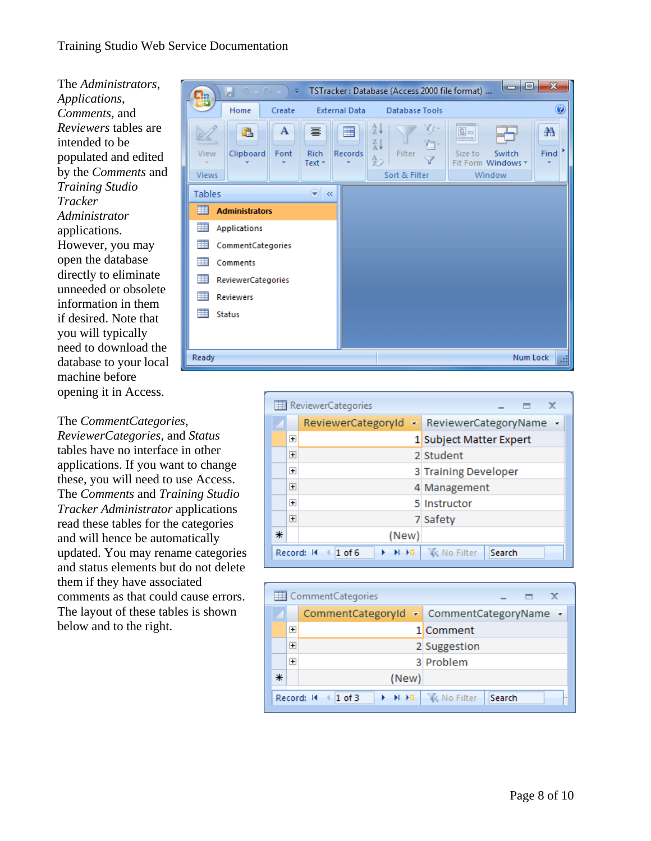The *Administrators*, *Applications*, *Comments*, and *Reviewers* tables are intended to be populated and edited by the *Comments* and *Training Studio Tracker Administrator* applications. However, you may open the database directly to eliminate unneeded or obsolete information in them if desired. Note that you will typically need to download the database to your local machine before opening it in Access.

#### The *CommentCategories*,

*ReviewerCategories*, and *Status*  tables have no interface in other applications. If you want to change these, you will need to use Access. The *Comments* and *Training Studio Tracker Administrator* applications read these tables for the categories and will hence be automatically updated. You may rename categories and status elements but do not delete them if they have associated comments as that could cause errors. The layout of these tables is shown below and to the right.



|   |                | ReviewerCategories          | x                             |
|---|----------------|-----------------------------|-------------------------------|
|   |                | ReviewerCategoryId<br>47    | ReviewerCategoryName +        |
|   | $\overline{+}$ |                             | 1 Subject Matter Expert       |
|   | $\overline{+}$ |                             | 2 Student                     |
|   | $\overline{+}$ |                             | 3 Training Developer          |
|   | $\overline{+}$ |                             | 4 Management                  |
|   | $\overline{+}$ |                             | 5 Instructor                  |
|   | $\overline{+}$ |                             | 7 Safety                      |
| ⋇ |                | (New)                       |                               |
|   |                | Record: 14<br>٠<br>$1$ of 6 | Search<br><b>WK No Filter</b> |

|   |                | Comment Categories               | x                                         |
|---|----------------|----------------------------------|-------------------------------------------|
|   |                |                                  | CommentCategoryId - CommentCategoryName - |
|   | $\overline{+}$ |                                  | 1 Comment                                 |
|   | $\overline{+}$ |                                  | 2 Suggestion                              |
|   | $\overline{+}$ |                                  | 3 Problem                                 |
| ⋇ |                | (New)                            |                                           |
|   |                | Record: 14<br>$\parallel$ 1 of 3 | ▶ H H   区 No Filter<br>Search             |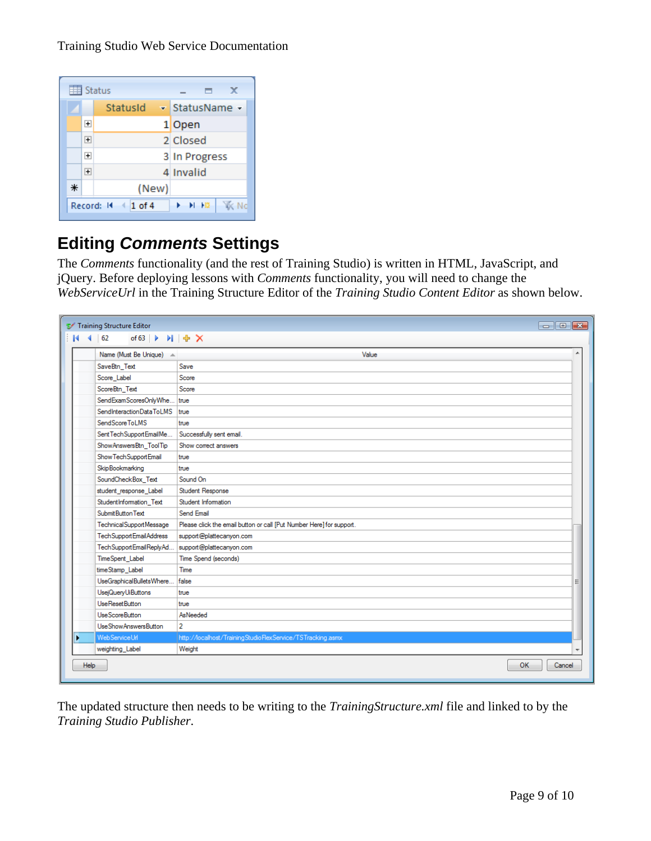Training Studio Web Service Documentation

|   |                | Status                           | x<br>▄                  |
|---|----------------|----------------------------------|-------------------------|
|   |                | StatusId                         | - StatusName -          |
|   | $\overline{+}$ |                                  | 1 Open                  |
|   | $\overline{+}$ |                                  | 2 Closed                |
|   | $\overline{+}$ |                                  | 3 In Progress           |
|   | $\overline{+}$ |                                  | 4 Invalid               |
| ⋇ |                | (New)                            |                         |
|   |                | Record: 14<br>$\parallel$ 1 of 4 | E E H<br>N <sub>0</sub> |

# **Editing** *Comments* **Settings**

The *Comments* functionality (and the rest of Training Studio) is written in HTML, JavaScript, and jQuery. Before deploying lessons with *Comments* functionality, you will need to change the *WebServiceUrl* in the Training Structure Editor of the *Training Studio Content Editor* as shown below.

|   | Training Structure Editor   | $\Box$ $\Box$ $\bm{x}$                                               |
|---|-----------------------------|----------------------------------------------------------------------|
|   | of $63$<br>62               | $M \oplus X$                                                         |
|   | Name (Must Be Unique) A     | Value<br>▲                                                           |
|   | SaveBtn_Text                | Save                                                                 |
|   | Score_Label                 | Score                                                                |
|   | ScoreBtn Text               | Score                                                                |
|   | SendExamScoresOnlyWhe true  |                                                                      |
|   | SendInteractionDataToLMS    | true                                                                 |
|   | SendScoreToLMS              | true                                                                 |
|   | Sent Tech Support Email Me  | Successfully sent email.                                             |
|   | Show Answers Btn_Tool Tip   | Show correct answers                                                 |
|   | Show Tech Support Email     | true                                                                 |
|   | <b>SkipBookmarking</b>      | true                                                                 |
|   | SoundCheckBox_Text          | Sound On                                                             |
|   | student_response_Label      | Student Response                                                     |
|   | StudentInformation Text     | Student Information                                                  |
|   | Submit Button Text          | Send Email                                                           |
|   | TechnicalSupportMessage     | Please click the email button or call [Put Number Here] for support. |
|   | Tech Support Email Address  | support@plattecanyon.com                                             |
|   | TechSupportEmailReplyAd     | support@plattecanyon.com                                             |
|   | TimeSpent Label             | Time Spend (seconds)                                                 |
|   | timeStamp Label             | Time                                                                 |
|   | UseGraphicalBulletsWhere    | false<br>Ξ                                                           |
|   | UsejQueryUiButtons          | true                                                                 |
|   | UseResetButton              | true                                                                 |
|   | <b>UseScoreButton</b>       | AsNeeded                                                             |
|   | <b>UseShowAnswersButton</b> | $\overline{2}$                                                       |
| ٠ | Web Service Url             | http://localhost/TrainingStudioFlexService/TSTracking.asmx           |
|   | weighting_Label             | Weight                                                               |
|   | Help                        | OK<br>Cancel                                                         |

The updated structure then needs to be writing to the *TrainingStructure.xml* file and linked to by the *Training Studio Publisher*.